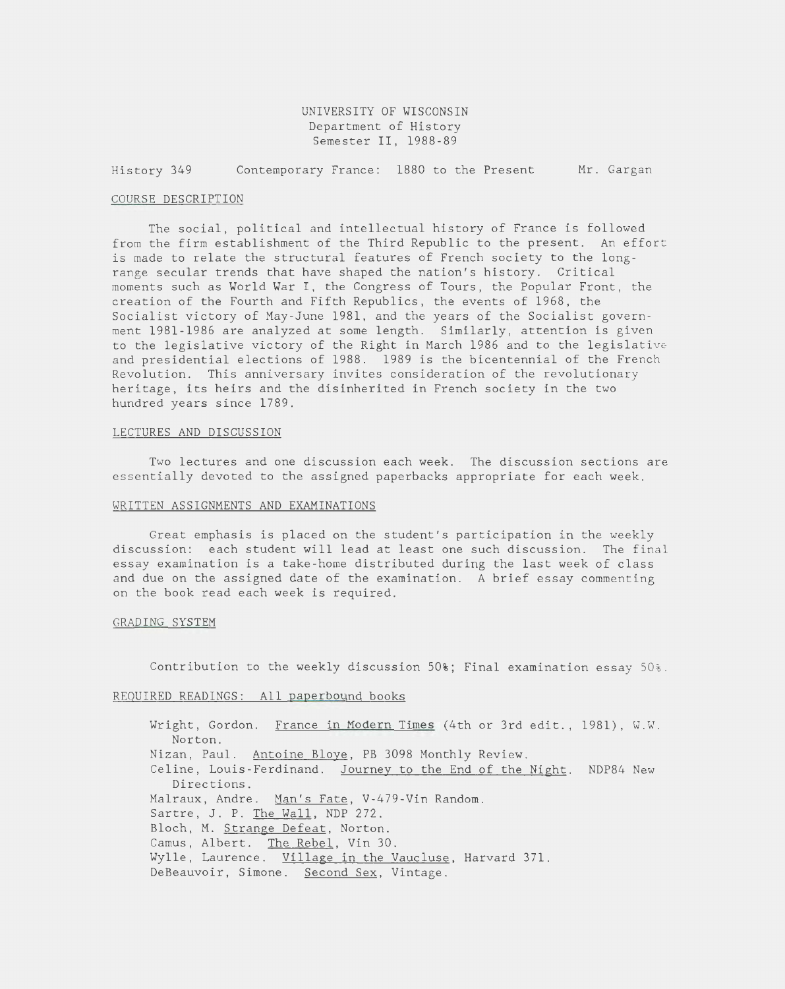UNIVERSITY OF WISCONSIN Department of History Semester II, 1988-89

History 349 Contemporary France: 1880 to the Present Mr. Gargan

#### COURSE DESCRIPTION

The social, political and intellectual history of France is followed from the firm establishment of the Third Republic to the present. An effort is made to relate the structural features of French society to the longrange secular trends that have shaped the nation's history. Critical moments such as World War I, the Congress of Tours, the Popular Front, the creation of the Fourth and Fifth Republics, the events of 1968, the Socialist victory of May-June 1981, and the years of the Socialist government 1981-1986 are analyzed at some length. Similarly, attention is given to the legislative victory of the Right in March 1986 and to the legislative and presidential elections of 1988. 1989 is the bicentennial of the French Revolution. This anniversary invites consideration of the revolutionary heritage, its heirs and the disinherited in French society in the two hundred years since 1789.

#### LECTURES AND DISCUSSION

Two lectures and one discussion each week. The discussion sections are essentially devoted to the assigned paperbacks appropriate for each week .

#### WRITTEN ASSIGNMENTS AND EXAMINATIONS

Great emphasis is placed on the student's participation in the weekly discussion: each student will lead at least one such discussion. The final essay examination is a take-home distributed during the last week of class and due on the assigned date of the examination. A brief essay commenting on the book read each week is required.

### GRADING SYSTEM

Contribution to the weekly discussion 50%; Final examination essay 50% .

### REQUIRED READINGS: All paperbound books

Wright, Gordon. France in Modern Times (4th or 3rd edit., 1981), W.W. Norton. Nizan, Paul. Antoine Bloye, PB 3098 Monthly Review. Celine, Louis-Ferdinand. Journey to the End of the Night. NDP84 New Directions. Malraux, Andre. Man's Fate, V-479-Vin Random. Sartre, J. P. The Wall, NDP 272. Bloch, M. Strange Defeat, Norton. Camus, Albert. The Rebel, Vin 30. Wylle, Laurence. Village in the Vaucluse, Harvard 371. DeBeauvoir, Simone. Second Sex, Vintage.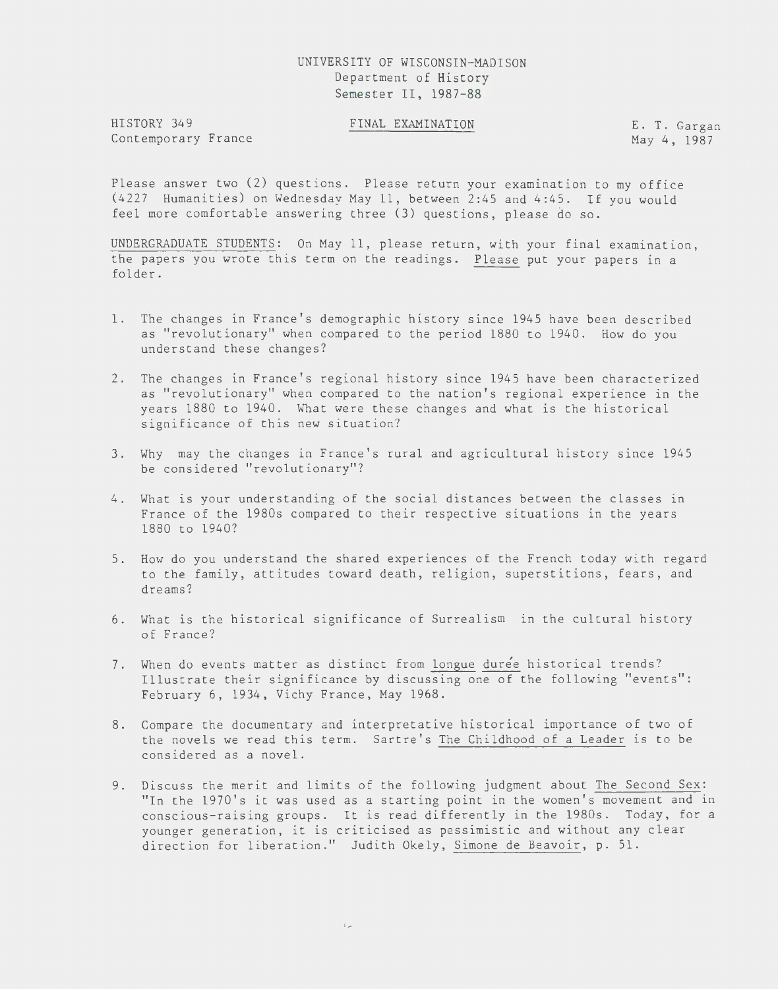## UNIVERSITY OF WISCONSIN-MADISON Department of History Semester II, 1987-88

HISTORY 349 Contemporary France FINAL EXAMINATION E. T. Gargan

May 4, 1987

Please answer two (2) questions. Please return your examination to my office (4227 Humanities) on Wednesday May 11, between 2:45 and 4:45. If you would feel more comfortable answering three (3) questions, please do so.

UNDERGRADUATE STUDENTS: On May 11, please return, with your final examination, the papers you wrote this term on the readings. Please put your papers in a folder.

- 1 . The changes in France's demographic history since 1945 have been described as "revolutionary" when compared to the period 1880 to 1940. How do you understand these changes?
- 2. The changes in France's regional history Slnce 1945 have been characterized as "revolutionary" when compared to the nation's regional experience in the years 1880 to 1940. What were these changes and what is the historical significance of this new situation?
- 3. Why may the changes in France's rural and agricultural history Slnce 1945 be considered "revolutionary"?
- 4. What is your understanding of the social distances between the classes in France of the 1980s compared to their respective situations in the years 1880 to 1940?
- 5. How do you understand the shared experiences of the French today with regard to the family, attitudes toward death, religion, superstitions, fears, and dreams?
- 6. What is the historical significance of Surrealism ln the cultural history of France?
- 7. When do events matter as distinct from longue durée historical trends? Illustrate their significance by discussing one of the following "events": February 6, 1934, Vichy France, May 1968.
- 8. Compare the documentary and interpretative historical importance of two of the novels we read this term. Sartre's The Childhood of a Leader is to be considered as a novel.
- 9. Discuss the merit and limits of the following judgment about The Second Sex: "In the 1970's it was used as a starting point in the women's movement and in conscious-raising groups. It is read differently in the 1980s. Today, for a younger generation, it is criticised as pessimistic and without any clear direction for liberation." Judith Okely, Simone de Beavoir, p. 51.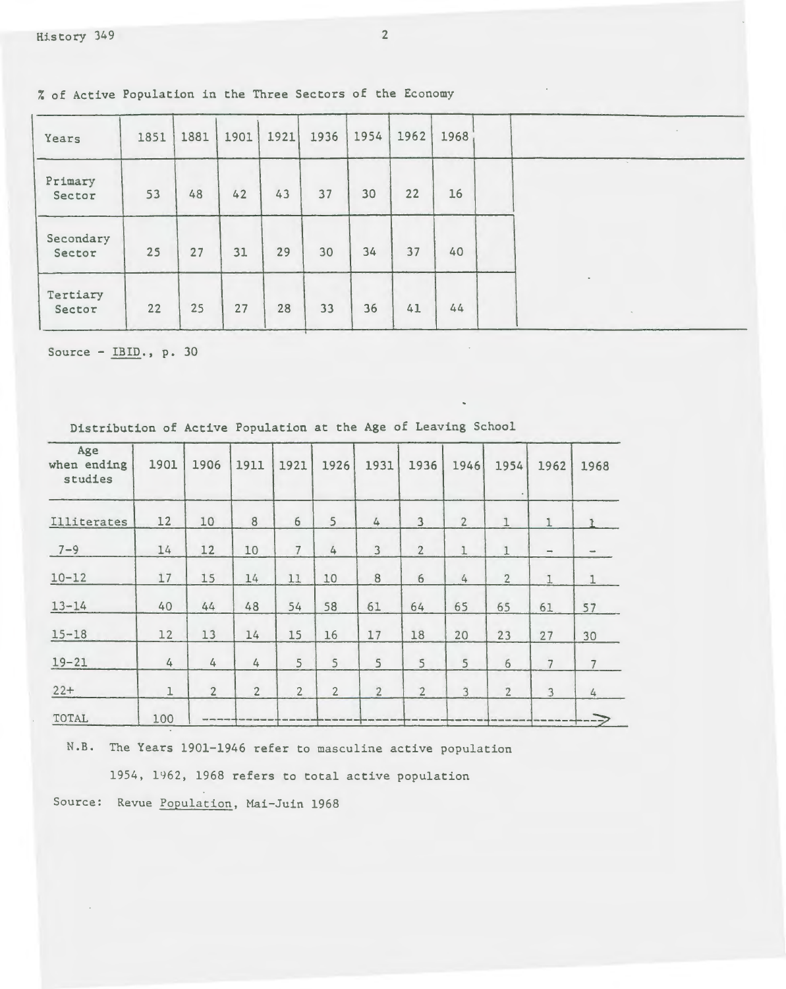% of Active Population in the Three Sectors of the Economy

| Years               | 1851 | 1881 | 1901 | 1921 | 1936 | 1954 | 1962 | 1968 |  |
|---------------------|------|------|------|------|------|------|------|------|--|
| Primary<br>Sector   | 53   | 48   | 42   | 43   | 37   | 30   | 22   | 16   |  |
| Secondary<br>Sector | 25   | 27   | 31   | 29   | 30   | 34   | 37   | 40   |  |
| Tertiary<br>Sector  | 22   | 25   | 27   | 28   | 33   | 36   | 41   | 44   |  |

Source- IBID., p. 30

| Age<br>when ending<br>studies | 1901        | 1906           | 1911             | 1921           | 1926           | 1931             | 1936                    | 1946           | 1954            | 1962                            | 1968           |
|-------------------------------|-------------|----------------|------------------|----------------|----------------|------------------|-------------------------|----------------|-----------------|---------------------------------|----------------|
| Illiterates                   | 12          | 10             | $\boldsymbol{8}$ | $\epsilon$     | 5              | $\overline{4}$   | $\overline{\mathbf{3}}$ | $\overline{2}$ | 1               |                                 |                |
| $7 - 9$                       | 14          | 12             | 10               | $\overline{7}$ | 4              | $\mathbf{3}$     | $\overline{2}$          | $\mathbbm{1}$  | $\mathbf{1}$    | $\qquad \qquad \longrightarrow$ |                |
| $10 - 12$                     | 17          | 15             | 14               | 11             | 10             | $\boldsymbol{8}$ | $6\,$                   | $\sqrt{4}$     | $\overline{2}$  | $\mathbf{I}$                    | $\mathbf{1}$   |
| $13 - 14$                     | 40          | 44             | 48               | 54             | 58             | 61               | 64                      | 65             | 65              | 61                              | 57             |
| $15 - 18$                     | 12          | 13             | 14               | 15             | 16             | 17               | 18                      | 20             | 23              | 27                              | 30             |
| $19 - 21$                     | 4           | 4              | $\sqrt{4}$       | 5              | 5              | 5                | 5                       | 5              | $6\overline{6}$ | $\overline{7}$                  | $\overline{7}$ |
| $22+$                         | $\mathbf 1$ | $\overline{2}$ | $\overline{2}$   | $\overline{2}$ | $\overline{2}$ | $\overline{2}$   | $\overline{2}$          | $\overline{3}$ | $\overline{2}$  | 3                               | 4              |
| TOTAL                         | 100         |                |                  |                |                |                  |                         |                |                 |                                 | $---$          |

Distribution of Active Population at the Age of Leaving School

N.B. The Years 1901-1946 refer to masculine active population

1954, 1962, 1968 refers to total active population

Source: Revue Population, Mai-Juin 1968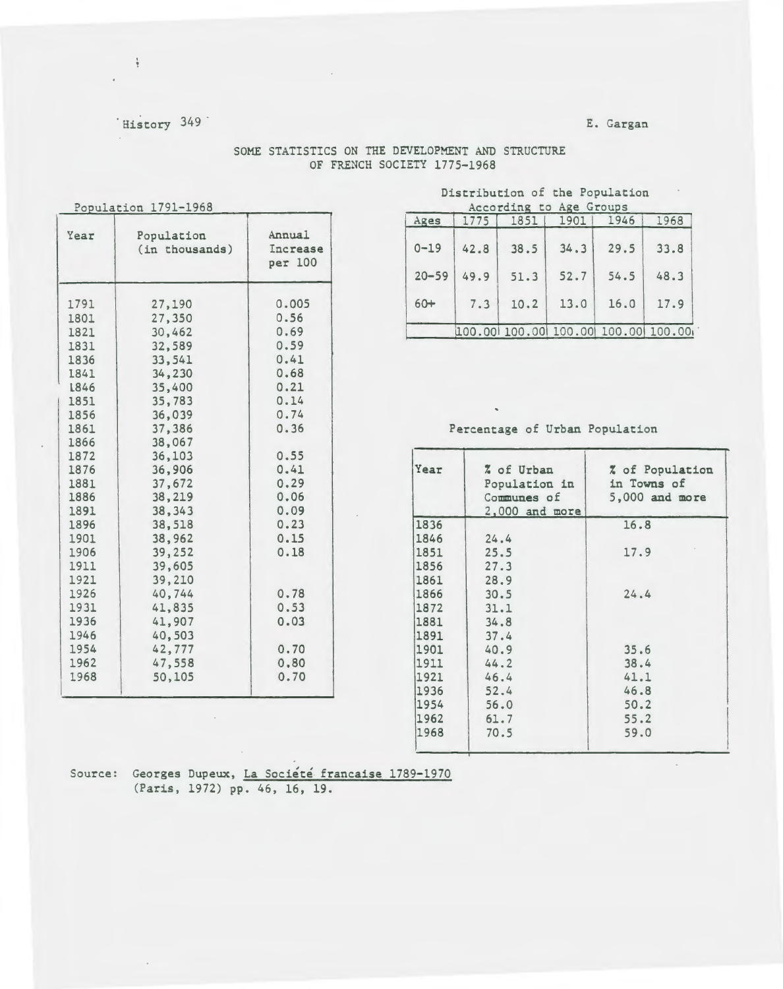# 'History 349

 $\frac{1}{2}$ 

## E. Gargan

| Population 1791-1968                                                                                                                                                                                                         |                                                                                                                                                                                                                                                                                      |                                                                                                                                                                                               |  |  |  |
|------------------------------------------------------------------------------------------------------------------------------------------------------------------------------------------------------------------------------|--------------------------------------------------------------------------------------------------------------------------------------------------------------------------------------------------------------------------------------------------------------------------------------|-----------------------------------------------------------------------------------------------------------------------------------------------------------------------------------------------|--|--|--|
| Year                                                                                                                                                                                                                         | Population<br>(in thousands)                                                                                                                                                                                                                                                         | Annual<br>Increase<br>per 100                                                                                                                                                                 |  |  |  |
| 1791<br>1801<br>1821<br>1831<br>1836<br>1841<br>L846<br>1851<br>1856<br>1861<br>1866<br>1872<br>1876<br>1881<br>1886<br>1891<br>1896<br>1901<br>1906<br>1911<br>1921<br>1926<br>1931<br>1936<br>1946<br>1954<br>1962<br>1968 | 27,190<br>27,350<br>30,462<br>32,589<br>33,541<br>34,230<br>35,400<br>35,783<br>36,039<br>37,386<br>38,067<br>36,103<br>36,906<br>37,672<br>38,219<br>38,343<br>38,518<br>38,962<br>39,252<br>39,605<br>39,210<br>40,744<br>41,835<br>41,907<br>40,503<br>42,777<br>47,558<br>50,105 | 0.005<br>0.56<br>0.69<br>0.59<br>0.41<br>0.68<br>0.21<br>0.14<br>0.74<br>0.36<br>0.55<br>0.41<br>0.29<br>0.06<br>0.09<br>0.23<br>0.15<br>0.18<br>0.78<br>0.53<br>0.03<br>0.70<br>0,80<br>0.70 |  |  |  |

 $\mathcal{L}^{\mathcal{L}}(\mathcal{L}^{\mathcal{L}})$  . The  $\mathcal{L}^{\mathcal{L}}(\mathcal{L}^{\mathcal{L}})$ 

## SOME STATISTICS ON THE DEVELOPMENT AND STRUCTURE OF FRENCH SOCIETY 1775-1968

## Distribution of the Population According to Age Groups

| Ages      | 1775 | 1851 | 1901 | 1946 | 1968                               |
|-----------|------|------|------|------|------------------------------------|
| $0 - 19$  | 42.8 | 38.5 | 34.3 | 29.5 | 33.8                               |
| $20 - 59$ | 49.9 | 51.3 | 52.7 | 54.5 | 48.3                               |
| $60+$     | 7.3  | 10.2 | 13.0 | 16.0 | 17.9                               |
|           |      |      |      |      | 100.00 100.00 100.00 100.00 100.00 |

## Percentage of Urban Population

 $\hat{\mathbf{v}}$ 

| Year | % of Urban<br>Population in<br>Communes of | % of Population<br>in Towns of<br>5,000 and more |  |  |  |
|------|--------------------------------------------|--------------------------------------------------|--|--|--|
| 1836 | 2,000 and more                             | 16.8                                             |  |  |  |
| 1846 |                                            |                                                  |  |  |  |
| 1851 | 24.4                                       | 17.9                                             |  |  |  |
|      | 25.5                                       |                                                  |  |  |  |
| 1856 | 27.3                                       |                                                  |  |  |  |
| 1861 | 28.9                                       |                                                  |  |  |  |
| 1866 | 30.5                                       | 24.4                                             |  |  |  |
| 1872 | 31.1                                       |                                                  |  |  |  |
| 1881 | 34.8                                       |                                                  |  |  |  |
| 1891 | 37.4                                       |                                                  |  |  |  |
| 1901 | 40.9                                       | 35.6                                             |  |  |  |
| 1911 | 44.2                                       | 38.4                                             |  |  |  |
| 1921 | 46.4                                       | 41.1                                             |  |  |  |
| 1936 | 52.4                                       | 46.8                                             |  |  |  |
| 1954 | 56.0                                       | 50.2                                             |  |  |  |
| 1962 | 61.7                                       | 55.2                                             |  |  |  |
| 1968 | 70.5                                       | 59.0                                             |  |  |  |

 $\mathcal{L}$ 

Source: Georges Dupeux, La Société francaise 1789-1970 (Paris, 1972) pp. 46, 16, 19.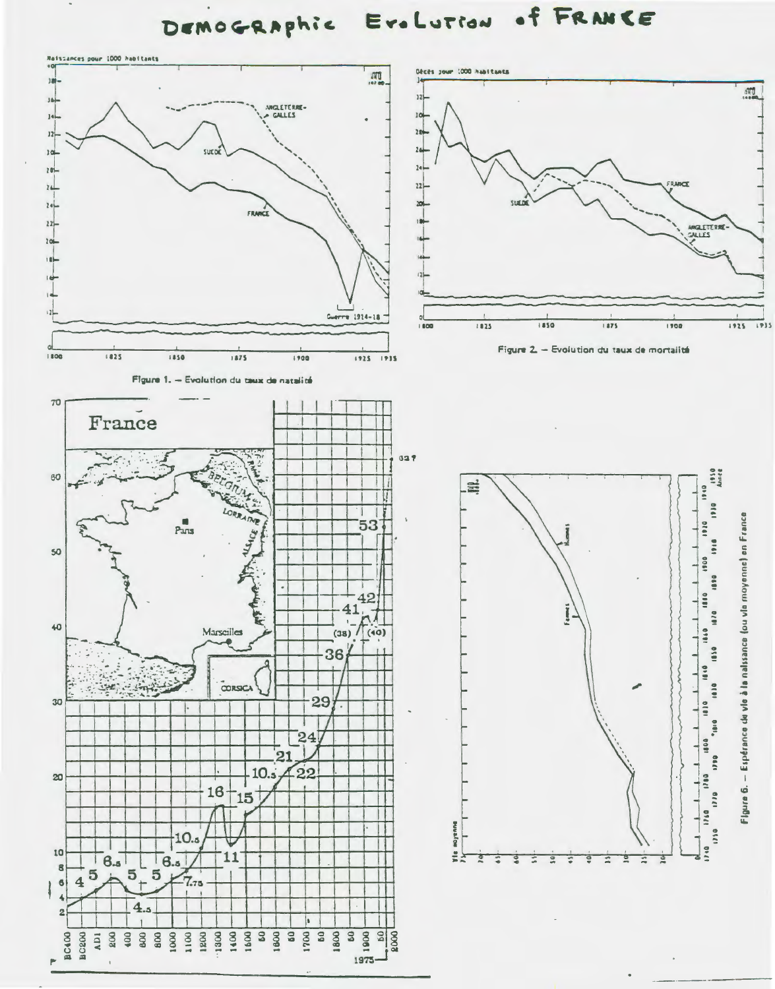of FRANCE EroLution DEMOGRAPhic

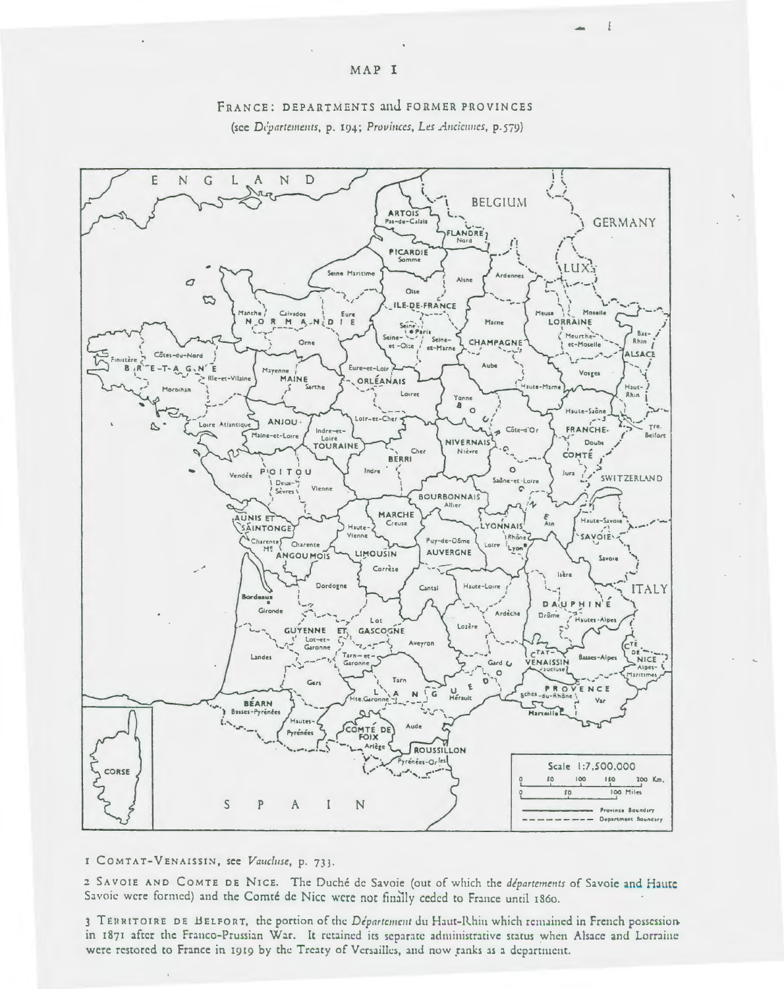

## FRANCE: DEPARTMENTS and FORMER PROVINCES (see Départements, p. 194; Provinces, Les Anciennes, p.579)

#### I COMTAT-VENAISSIN, see Vaucluse, p. 733.

2 SAVOIE AND COMTE DE NICE. The Duché de Savoie (out of which the départements of Savoie and Haute Savoie were formed) and the Comté de Nice were not finally ceded to France until 1860.

3 TERRITOIRE DE BELFORT, the portion of the Département du Haut-Rhin which remained in French possessionin 1871 after the Franco-Prussian War. It retained its separate administrative status when Alsace and Lorraine were restored to France in 1919 by the Treaty of Versailles, and now ranks as a department.